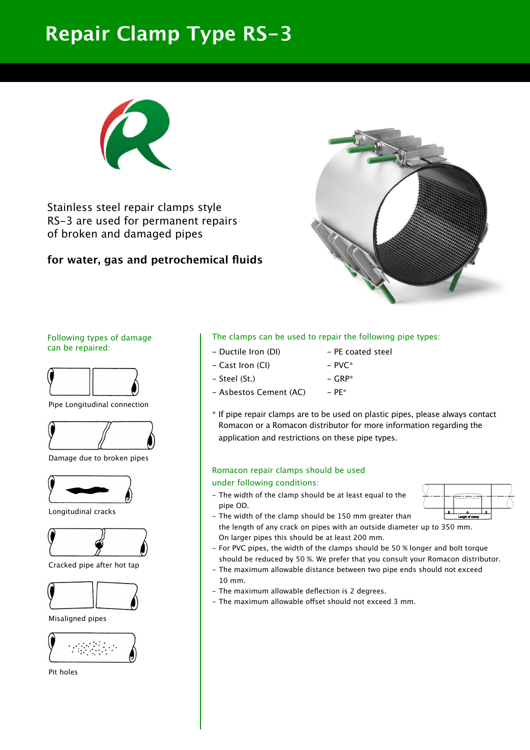# **Repair Clamp Type RS-3**



Stainless steel repair clamps style RS-3 are used for permanent repairs of broken and damaged pipes

## **for water, gas and petrochemical fluids**



#### Following types of damage can be repaired:



Pipe Longitudinal connection



Damage due to broken pipes



Longitudinal cracks



Cracked pipe after hot tap



Misaligned pipes



Pit holes

### The clamps can be used to repair the following pipe types:

- Ductile Iron (DI) PE coated steel
	-
- $-$  Cast Iron (CI)  $-$  PVC\*
- 
- $-$  Steel (St.)  $-$  GRP\*
- $-$  Asbestos Cement (AC)  $-$  PE\*
- \* If pipe repair clamps are to be used on plastic pipes, please always contact Romacon or a Romacon distributor for more information regarding the application and restrictions on these pipe types.

# Romacon repair clamps should be used

- under following conditions:
- The width of the clamp should be at least equal to the pipe OD.



- The width of the clamp should be 150 mm greater than the length of any crack on pipes with an outside diameter up to 350 mm. On larger pipes this should be at least 200 mm.
- For PVC pipes, the width of the clamps should be 50 % longer and bolt torque should be reduced by 50 %. We prefer that you consult your Romacon distributor.
- The maximum allowable distance between two pipe ends should not exceed 10 mm.
- The maximum allowable deflection is 2 degrees.
- The maximum allowable offset should not exceed 3 mm.